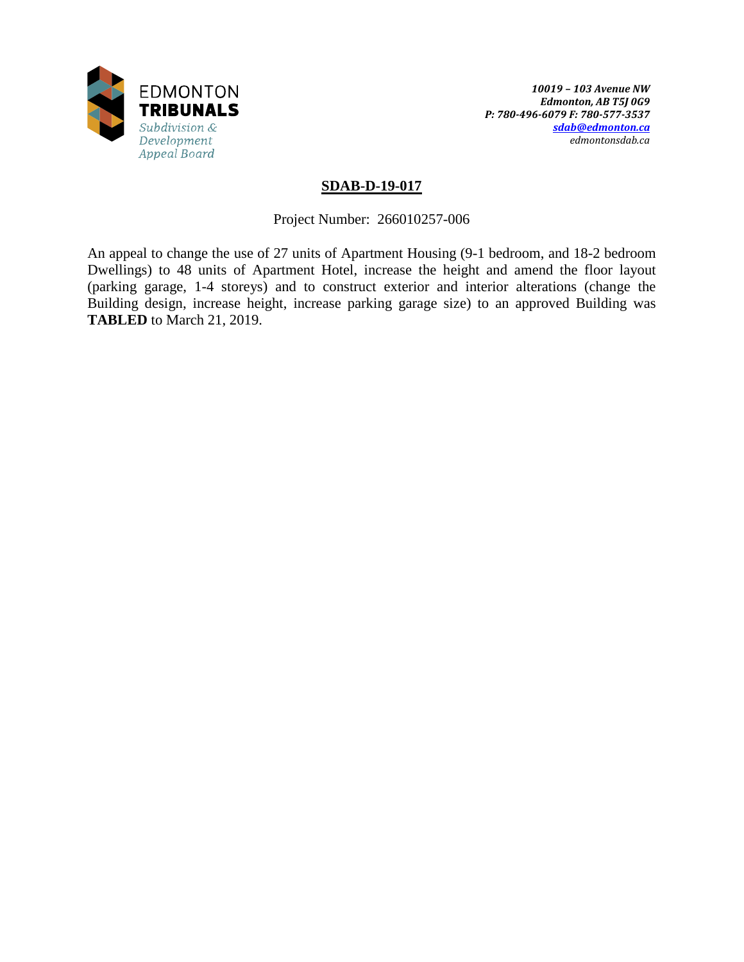

### **SDAB-D-19-017**

Project Number: 266010257-006

An appeal to change the use of 27 units of Apartment Housing (9-1 bedroom, and 18-2 bedroom Dwellings) to 48 units of Apartment Hotel, increase the height and amend the floor layout (parking garage, 1-4 storeys) and to construct exterior and interior alterations (change the Building design, increase height, increase parking garage size) to an approved Building was **TABLED** to March 21, 2019.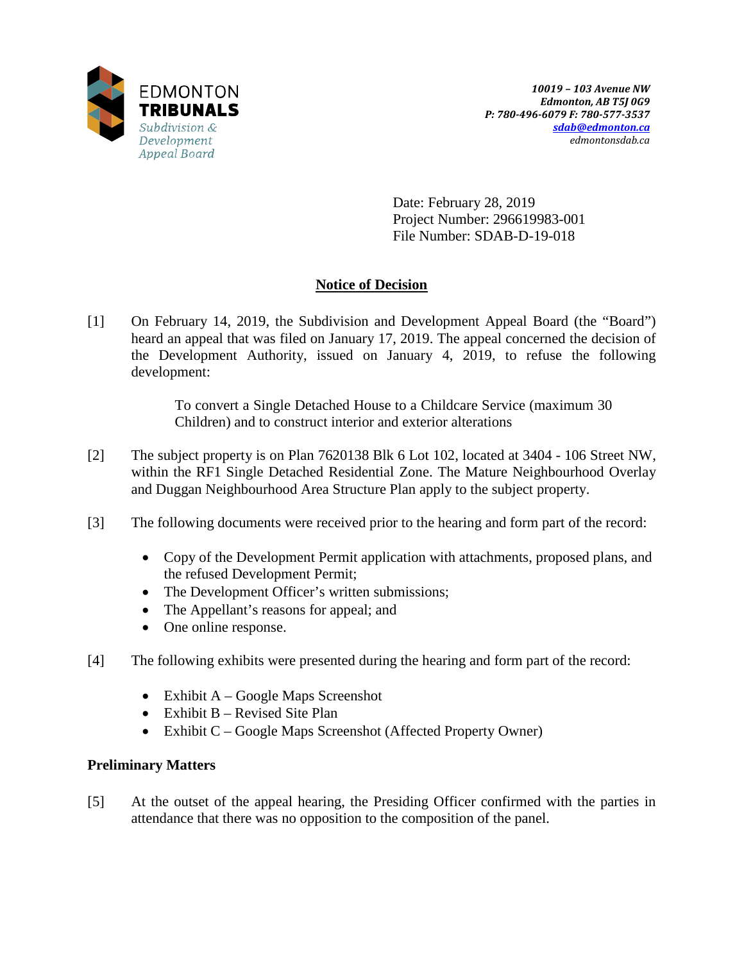

Date: February 28, 2019 Project Number: 296619983-001 File Number: SDAB-D-19-018

# **Notice of Decision**

[1] On February 14, 2019, the Subdivision and Development Appeal Board (the "Board") heard an appeal that was filed on January 17, 2019. The appeal concerned the decision of the Development Authority, issued on January 4, 2019, to refuse the following development:

> To convert a Single Detached House to a Childcare Service (maximum 30 Children) and to construct interior and exterior alterations

- [2] The subject property is on Plan 7620138 Blk 6 Lot 102, located at 3404 106 Street NW, within the RF1 Single Detached Residential Zone. The Mature Neighbourhood Overlay and Duggan Neighbourhood Area Structure Plan apply to the subject property.
- [3] The following documents were received prior to the hearing and form part of the record:
	- Copy of the Development Permit application with attachments, proposed plans, and the refused Development Permit;
	- The Development Officer's written submissions;
	- The Appellant's reasons for appeal; and
	- One online response.
- [4] The following exhibits were presented during the hearing and form part of the record:
	- Exhibit  $A Google Maps$  Screenshot
	- Exhibit  $B -$  Revised Site Plan
	- Exhibit C Google Maps Screenshot (Affected Property Owner)

## **Preliminary Matters**

[5] At the outset of the appeal hearing, the Presiding Officer confirmed with the parties in attendance that there was no opposition to the composition of the panel.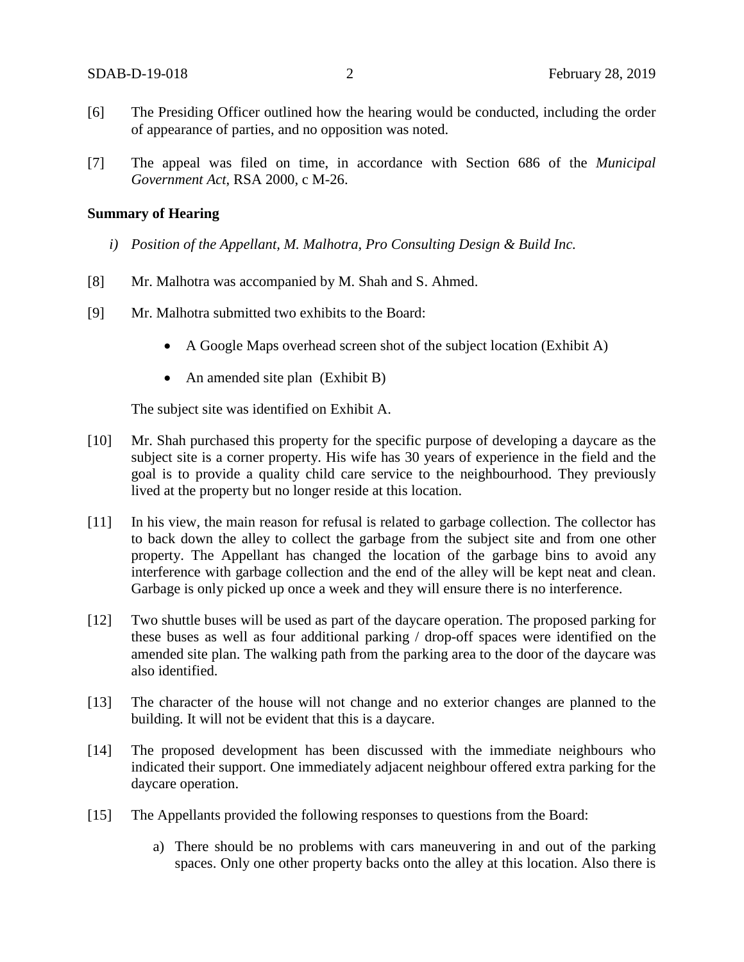- [6] The Presiding Officer outlined how the hearing would be conducted, including the order of appearance of parties, and no opposition was noted.
- [7] The appeal was filed on time, in accordance with Section 686 of the *Municipal Government Act*, RSA 2000, c M-26.

#### **Summary of Hearing**

- *i) Position of the Appellant, M. Malhotra, Pro Consulting Design & Build Inc.*
- [8] Mr. Malhotra was accompanied by M. Shah and S. Ahmed.
- [9] Mr. Malhotra submitted two exhibits to the Board:
	- A Google Maps overhead screen shot of the subject location (Exhibit A)
	- An amended site plan (Exhibit B)

The subject site was identified on Exhibit A.

- [10] Mr. Shah purchased this property for the specific purpose of developing a daycare as the subject site is a corner property. His wife has 30 years of experience in the field and the goal is to provide a quality child care service to the neighbourhood. They previously lived at the property but no longer reside at this location.
- [11] In his view, the main reason for refusal is related to garbage collection. The collector has to back down the alley to collect the garbage from the subject site and from one other property. The Appellant has changed the location of the garbage bins to avoid any interference with garbage collection and the end of the alley will be kept neat and clean. Garbage is only picked up once a week and they will ensure there is no interference.
- [12] Two shuttle buses will be used as part of the daycare operation. The proposed parking for these buses as well as four additional parking / drop-off spaces were identified on the amended site plan. The walking path from the parking area to the door of the daycare was also identified.
- [13] The character of the house will not change and no exterior changes are planned to the building. It will not be evident that this is a daycare.
- [14] The proposed development has been discussed with the immediate neighbours who indicated their support. One immediately adjacent neighbour offered extra parking for the daycare operation.
- [15] The Appellants provided the following responses to questions from the Board:
	- a) There should be no problems with cars maneuvering in and out of the parking spaces. Only one other property backs onto the alley at this location. Also there is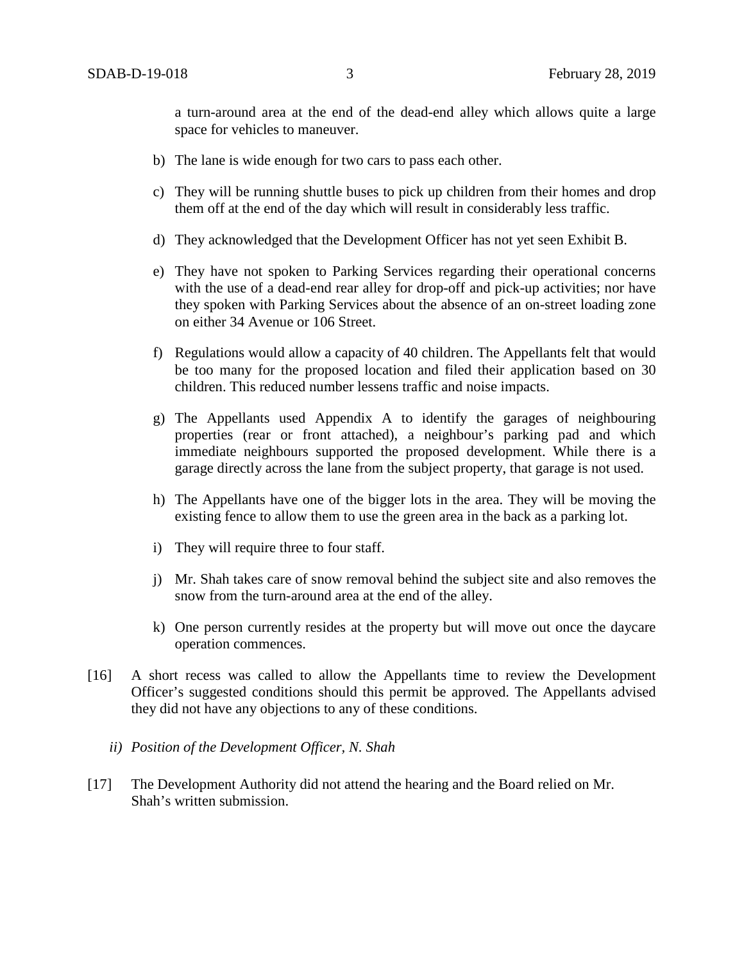a turn-around area at the end of the dead-end alley which allows quite a large space for vehicles to maneuver.

- b) The lane is wide enough for two cars to pass each other.
- c) They will be running shuttle buses to pick up children from their homes and drop them off at the end of the day which will result in considerably less traffic.
- d) They acknowledged that the Development Officer has not yet seen Exhibit B.
- e) They have not spoken to Parking Services regarding their operational concerns with the use of a dead-end rear alley for drop-off and pick-up activities; nor have they spoken with Parking Services about the absence of an on-street loading zone on either 34 Avenue or 106 Street.
- f) Regulations would allow a capacity of 40 children. The Appellants felt that would be too many for the proposed location and filed their application based on 30 children. This reduced number lessens traffic and noise impacts.
- g) The Appellants used Appendix A to identify the garages of neighbouring properties (rear or front attached), a neighbour's parking pad and which immediate neighbours supported the proposed development. While there is a garage directly across the lane from the subject property, that garage is not used.
- h) The Appellants have one of the bigger lots in the area. They will be moving the existing fence to allow them to use the green area in the back as a parking lot.
- i) They will require three to four staff.
- j) Mr. Shah takes care of snow removal behind the subject site and also removes the snow from the turn-around area at the end of the alley.
- k) One person currently resides at the property but will move out once the daycare operation commences.
- [16] A short recess was called to allow the Appellants time to review the Development Officer's suggested conditions should this permit be approved. The Appellants advised they did not have any objections to any of these conditions.
	- *ii) Position of the Development Officer, N. Shah*
- [17] The Development Authority did not attend the hearing and the Board relied on Mr. Shah's written submission.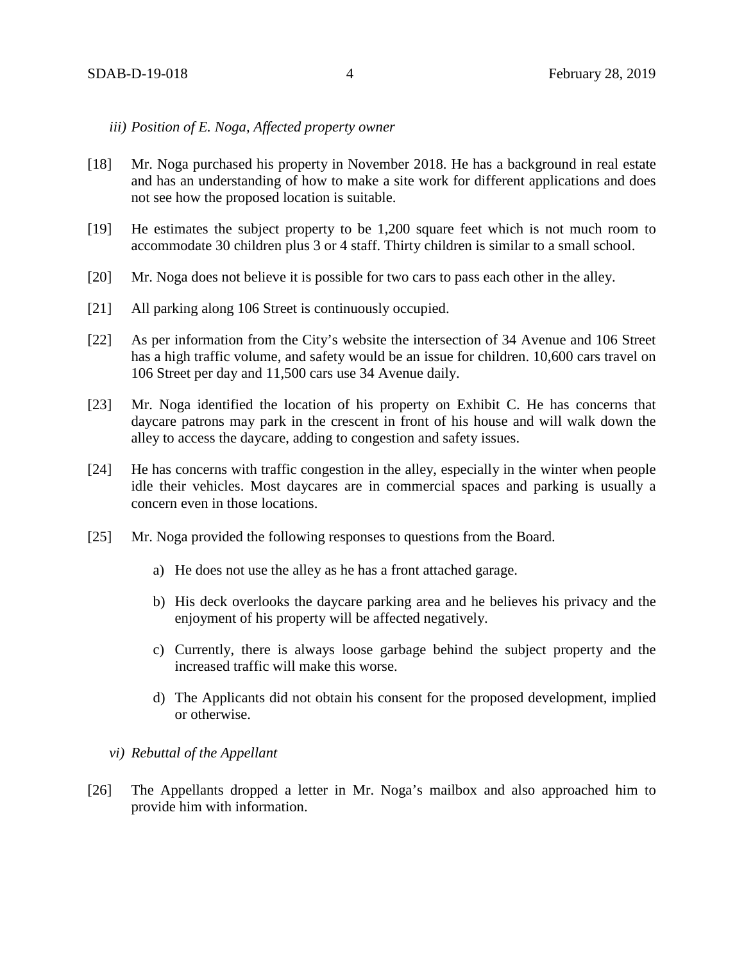*iii) Position of E. Noga, Affected property owner*

- [18] Mr. Noga purchased his property in November 2018. He has a background in real estate and has an understanding of how to make a site work for different applications and does not see how the proposed location is suitable.
- [19] He estimates the subject property to be 1,200 square feet which is not much room to accommodate 30 children plus 3 or 4 staff. Thirty children is similar to a small school.
- [20] Mr. Noga does not believe it is possible for two cars to pass each other in the alley.
- [21] All parking along 106 Street is continuously occupied.
- [22] As per information from the City's website the intersection of 34 Avenue and 106 Street has a high traffic volume, and safety would be an issue for children. 10,600 cars travel on 106 Street per day and 11,500 cars use 34 Avenue daily.
- [23] Mr. Noga identified the location of his property on Exhibit C. He has concerns that daycare patrons may park in the crescent in front of his house and will walk down the alley to access the daycare, adding to congestion and safety issues.
- [24] He has concerns with traffic congestion in the alley, especially in the winter when people idle their vehicles. Most daycares are in commercial spaces and parking is usually a concern even in those locations.
- [25] Mr. Noga provided the following responses to questions from the Board.
	- a) He does not use the alley as he has a front attached garage.
	- b) His deck overlooks the daycare parking area and he believes his privacy and the enjoyment of his property will be affected negatively.
	- c) Currently, there is always loose garbage behind the subject property and the increased traffic will make this worse.
	- d) The Applicants did not obtain his consent for the proposed development, implied or otherwise.
	- *vi) Rebuttal of the Appellant*
- [26] The Appellants dropped a letter in Mr. Noga's mailbox and also approached him to provide him with information.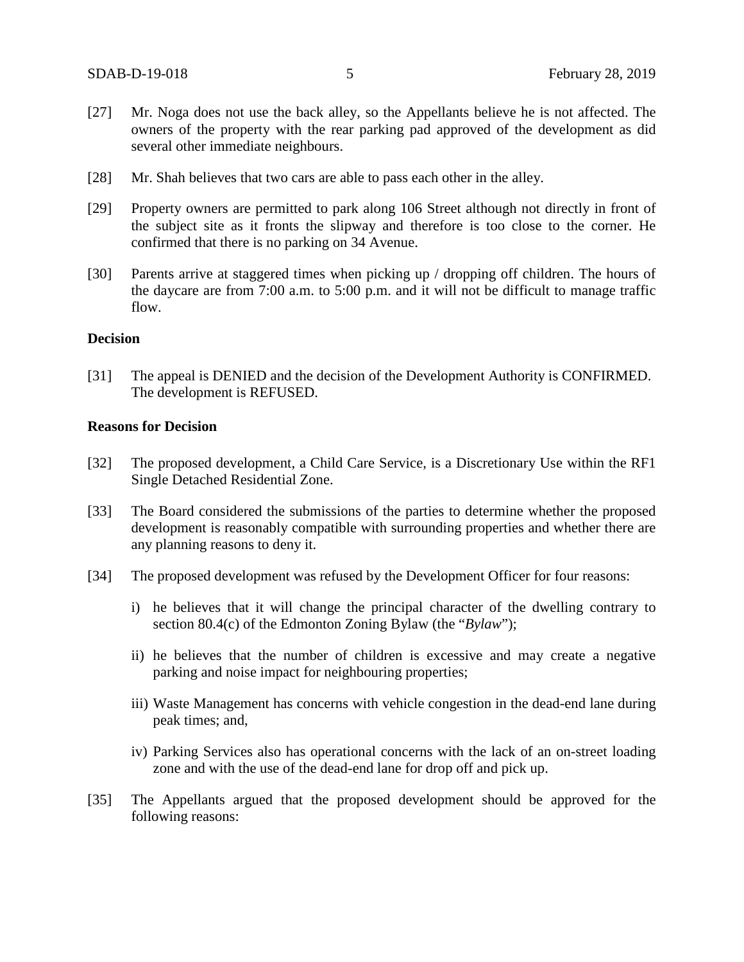- [27] Mr. Noga does not use the back alley, so the Appellants believe he is not affected. The owners of the property with the rear parking pad approved of the development as did several other immediate neighbours.
- [28] Mr. Shah believes that two cars are able to pass each other in the alley.
- [29] Property owners are permitted to park along 106 Street although not directly in front of the subject site as it fronts the slipway and therefore is too close to the corner. He confirmed that there is no parking on 34 Avenue.
- [30] Parents arrive at staggered times when picking up / dropping off children. The hours of the daycare are from 7:00 a.m. to 5:00 p.m. and it will not be difficult to manage traffic flow.

#### **Decision**

[31] The appeal is DENIED and the decision of the Development Authority is CONFIRMED. The development is REFUSED.

#### **Reasons for Decision**

- [32] The proposed development, a Child Care Service, is a Discretionary Use within the RF1 Single Detached Residential Zone.
- [33] The Board considered the submissions of the parties to determine whether the proposed development is reasonably compatible with surrounding properties and whether there are any planning reasons to deny it.
- [34] The proposed development was refused by the Development Officer for four reasons:
	- i) he believes that it will change the principal character of the dwelling contrary to section 80.4(c) of the Edmonton Zoning Bylaw (the "*Bylaw*");
	- ii) he believes that the number of children is excessive and may create a negative parking and noise impact for neighbouring properties;
	- iii) Waste Management has concerns with vehicle congestion in the dead-end lane during peak times; and,
	- iv) Parking Services also has operational concerns with the lack of an on-street loading zone and with the use of the dead-end lane for drop off and pick up.
- [35] The Appellants argued that the proposed development should be approved for the following reasons: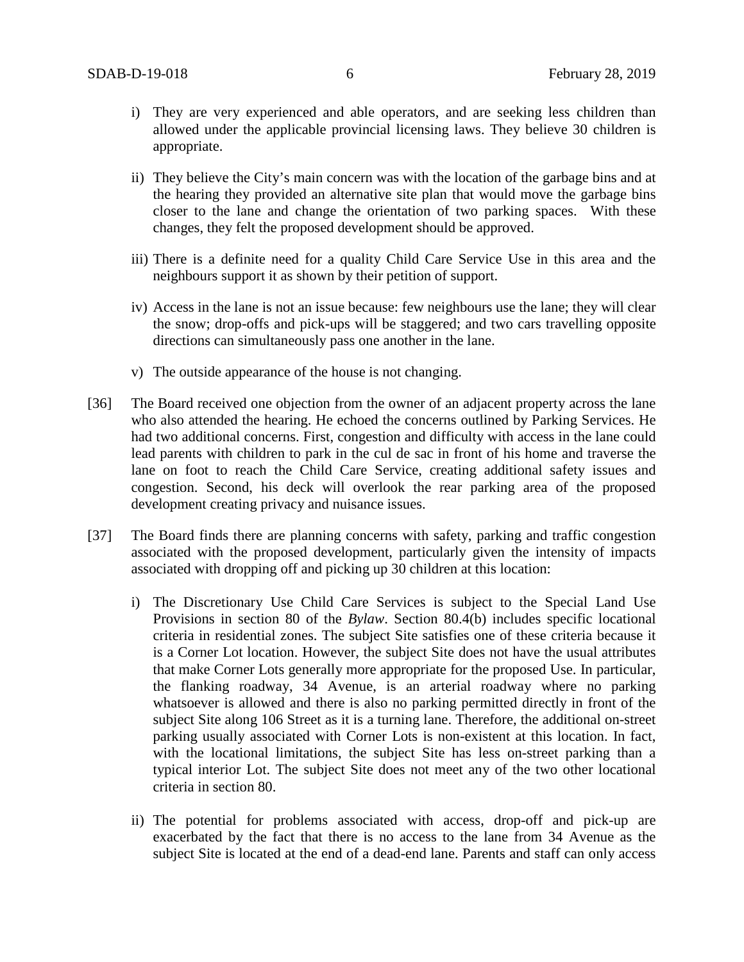- i) They are very experienced and able operators, and are seeking less children than allowed under the applicable provincial licensing laws. They believe 30 children is appropriate.
- ii) They believe the City's main concern was with the location of the garbage bins and at the hearing they provided an alternative site plan that would move the garbage bins closer to the lane and change the orientation of two parking spaces. With these changes, they felt the proposed development should be approved.
- iii) There is a definite need for a quality Child Care Service Use in this area and the neighbours support it as shown by their petition of support.
- iv) Access in the lane is not an issue because: few neighbours use the lane; they will clear the snow; drop-offs and pick-ups will be staggered; and two cars travelling opposite directions can simultaneously pass one another in the lane.
- v) The outside appearance of the house is not changing.
- [36] The Board received one objection from the owner of an adjacent property across the lane who also attended the hearing. He echoed the concerns outlined by Parking Services. He had two additional concerns. First, congestion and difficulty with access in the lane could lead parents with children to park in the cul de sac in front of his home and traverse the lane on foot to reach the Child Care Service, creating additional safety issues and congestion. Second, his deck will overlook the rear parking area of the proposed development creating privacy and nuisance issues.
- [37] The Board finds there are planning concerns with safety, parking and traffic congestion associated with the proposed development, particularly given the intensity of impacts associated with dropping off and picking up 30 children at this location:
	- i) The Discretionary Use Child Care Services is subject to the Special Land Use Provisions in section 80 of the *Bylaw*. Section 80.4(b) includes specific locational criteria in residential zones. The subject Site satisfies one of these criteria because it is a Corner Lot location. However, the subject Site does not have the usual attributes that make Corner Lots generally more appropriate for the proposed Use. In particular, the flanking roadway, 34 Avenue, is an arterial roadway where no parking whatsoever is allowed and there is also no parking permitted directly in front of the subject Site along 106 Street as it is a turning lane. Therefore, the additional on-street parking usually associated with Corner Lots is non-existent at this location. In fact, with the locational limitations, the subject Site has less on-street parking than a typical interior Lot. The subject Site does not meet any of the two other locational criteria in section 80.
	- ii) The potential for problems associated with access, drop-off and pick-up are exacerbated by the fact that there is no access to the lane from 34 Avenue as the subject Site is located at the end of a dead-end lane. Parents and staff can only access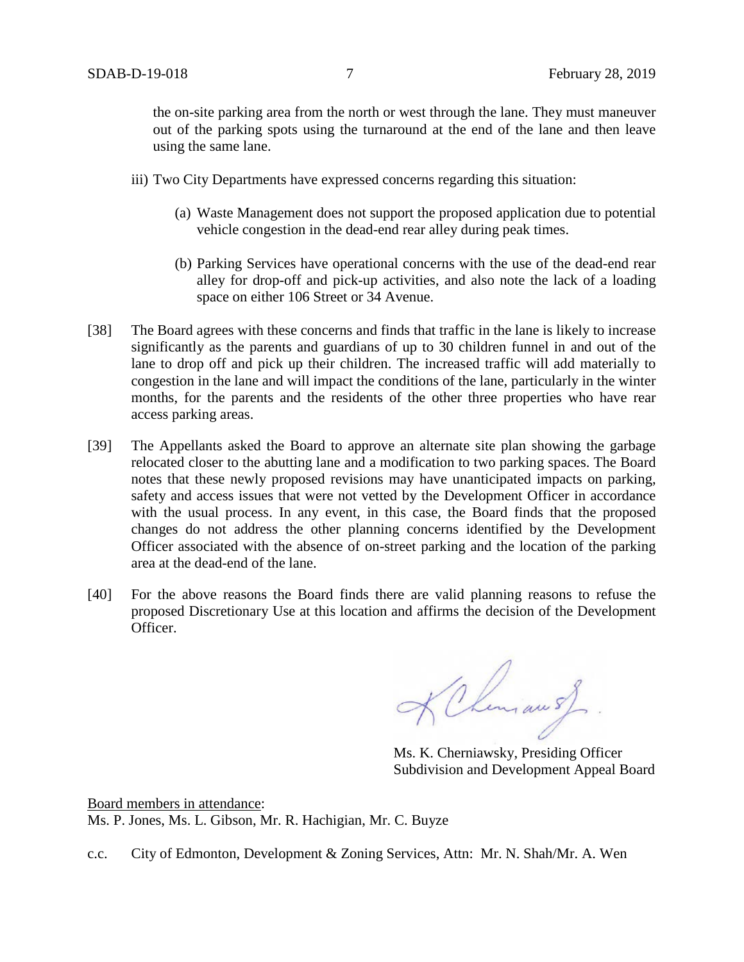the on-site parking area from the north or west through the lane. They must maneuver out of the parking spots using the turnaround at the end of the lane and then leave using the same lane.

- iii) Two City Departments have expressed concerns regarding this situation:
	- (a) Waste Management does not support the proposed application due to potential vehicle congestion in the dead-end rear alley during peak times.
	- (b) Parking Services have operational concerns with the use of the dead-end rear alley for drop-off and pick-up activities, and also note the lack of a loading space on either 106 Street or 34 Avenue.
- [38] The Board agrees with these concerns and finds that traffic in the lane is likely to increase significantly as the parents and guardians of up to 30 children funnel in and out of the lane to drop off and pick up their children. The increased traffic will add materially to congestion in the lane and will impact the conditions of the lane, particularly in the winter months, for the parents and the residents of the other three properties who have rear access parking areas.
- [39] The Appellants asked the Board to approve an alternate site plan showing the garbage relocated closer to the abutting lane and a modification to two parking spaces. The Board notes that these newly proposed revisions may have unanticipated impacts on parking, safety and access issues that were not vetted by the Development Officer in accordance with the usual process. In any event, in this case, the Board finds that the proposed changes do not address the other planning concerns identified by the Development Officer associated with the absence of on-street parking and the location of the parking area at the dead-end of the lane.
- [40] For the above reasons the Board finds there are valid planning reasons to refuse the proposed Discretionary Use at this location and affirms the decision of the Development Officer.

KChimau s)

Ms. K. Cherniawsky, Presiding Officer Subdivision and Development Appeal Board

Board members in attendance: Ms. P. Jones, Ms. L. Gibson, Mr. R. Hachigian, Mr. C. Buyze

c.c. City of Edmonton, Development & Zoning Services, Attn: Mr. N. Shah/Mr. A. Wen